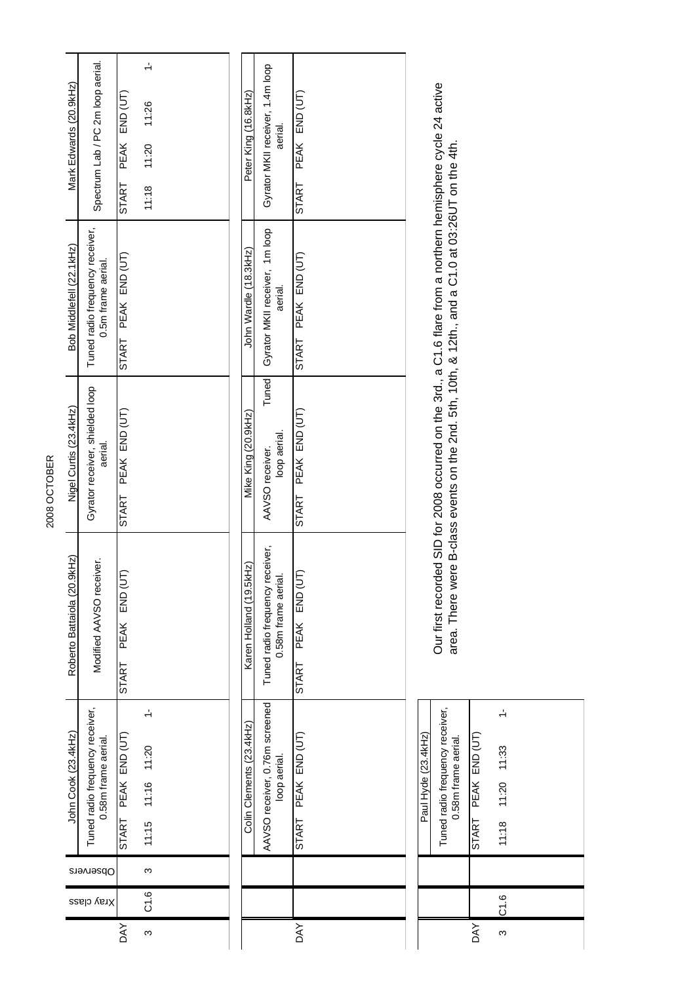| Mark Edwards (20.9kHz)                                      | Spectrum Lab / PC 2m loop aerial. | END (UT)<br>PEAK<br><b>START</b> | $\div$<br>11:26<br>11:20<br>11:18     |  | Peter King (16.8kHz)     | Gyrator MKII receiver, 1.4m loop<br>aerial.           | END (UT)<br>PEAK<br>START     |                     |                                                                                                                                                                                                                    |                        |  |
|-------------------------------------------------------------|-----------------------------------|----------------------------------|---------------------------------------|--|--------------------------|-------------------------------------------------------|-------------------------------|---------------------|--------------------------------------------------------------------------------------------------------------------------------------------------------------------------------------------------------------------|------------------------|--|
| Tuned radio frequency receiver,<br>Bob Middlefell (22.1kHz) | 0.5m frame aerial.                | PEAK END (UT)<br>START           |                                       |  | John Wardle (18.3kHz)    | Gyrator MKII receiver, 1m loop<br>aerial.             | PEAK END (UT)<br><b>START</b> |                     | Our first recorded SID for 2008 occurred on the 3rd., a C1.6 flare from a northern hemisphere cycle 24 active<br>area. There were B-class events on the 2nd. 5th, 10th, & 12th., and a C1.0 at 03:26UT on the 4th. |                        |  |
| Gyrator receiver, shielded loop<br>Nigel Curtis (23.4kHz)   | aerial.                           | PEAK END (UT)<br><b>START</b>    |                                       |  | Mike King (20.9kHz)      | Tuned<br>loop aerial.<br>AAVSO receiver.              | PEAK END (UT)<br>START        |                     |                                                                                                                                                                                                                    |                        |  |
| Roberto Battaiola (20.9kHz)                                 | Modified AAVSO receiver.          | END (UT<br>PEAK<br><b>START</b>  |                                       |  | Karen Holland (19.5kHz)  | Tuned radio frequency receiver,<br>0.58m frame aerial | END (UT<br>PEAK<br>START      |                     |                                                                                                                                                                                                                    |                        |  |
| Tuned radio frequency receiver,<br>John Cook (23.4kHz)      | 0.58m frame aerial.               | PEAK END (UT)<br>START           | $\frac{1}{2}$<br>11:16 11:20<br>11:15 |  | Colin Clements (23.4kHz) | AAVSO receiver, 0.76m screened<br>loop aerial.        | PEAK END (UT)<br>START        | Paul Hyde (23.4kHz) | Tuned radio frequency receiver,<br>0.58m frame aerial                                                                                                                                                              | PEAK END (UT)<br>START |  |
| Observers                                                   |                                   |                                  | S                                     |  |                          |                                                       |                               |                     |                                                                                                                                                                                                                    |                        |  |
| Xray class                                                  |                                   |                                  | C1.6                                  |  |                          |                                                       |                               |                     |                                                                                                                                                                                                                    |                        |  |
|                                                             |                                   | <b>AY</b>                        | ო                                     |  |                          |                                                       | <b>DAY</b>                    |                     |                                                                                                                                                                                                                    | <b>DAY</b>             |  |

| r |  |
|---|--|
|   |  |

| Paul Hyde (23.4kHz) | Tuned radio frequency receiver,<br>0.58m frame aerial. | PEAK END (UT) | 11:20 11:33 |  |  |
|---------------------|--------------------------------------------------------|---------------|-------------|--|--|
|                     |                                                        |               |             |  |  |
|                     |                                                        | START         | 11:18       |  |  |
|                     |                                                        |               |             |  |  |
|                     |                                                        |               | <u>ं</u>    |  |  |
|                     |                                                        | DAY           | ო           |  |  |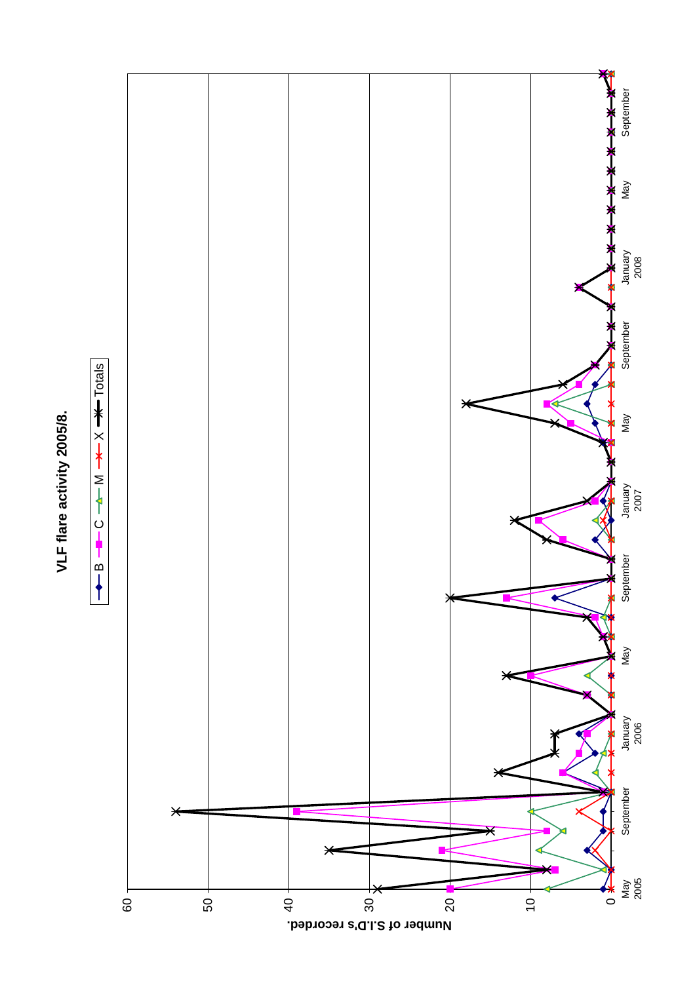